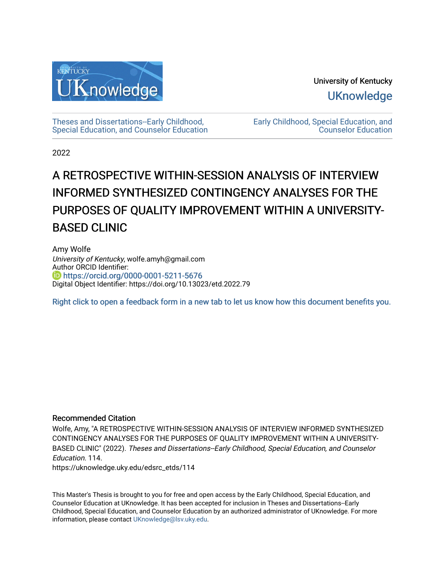

University of Kentucky **UKnowledge** 

[Theses and Dissertations--Early Childhood,](https://uknowledge.uky.edu/edsrc_etds)  [Special Education, and Counselor Education](https://uknowledge.uky.edu/edsrc_etds) [Early Childhood, Special Education, and](https://uknowledge.uky.edu/edsrc)  [Counselor Education](https://uknowledge.uky.edu/edsrc) 

2022

# A RETROSPECTIVE WITHIN-SESSION ANALYSIS OF INTERVIEW INFORMED SYNTHESIZED CONTINGENCY ANALYSES FOR THE PURPOSES OF QUALITY IMPROVEMENT WITHIN A UNIVERSITY-BASED CLINIC

Amy Wolfe University of Kentucky, wolfe.amyh@gmail.com Author ORCID Identifier: **b** https://orcid.org/0000-0001-5211-5676 Digital Object Identifier: https://doi.org/10.13023/etd.2022.79

[Right click to open a feedback form in a new tab to let us know how this document benefits you.](https://uky.az1.qualtrics.com/jfe/form/SV_9mq8fx2GnONRfz7)

### Recommended Citation

Wolfe, Amy, "A RETROSPECTIVE WITHIN-SESSION ANALYSIS OF INTERVIEW INFORMED SYNTHESIZED CONTINGENCY ANALYSES FOR THE PURPOSES OF QUALITY IMPROVEMENT WITHIN A UNIVERSITY-BASED CLINIC" (2022). Theses and Dissertations--Early Childhood, Special Education, and Counselor Education. 114.

https://uknowledge.uky.edu/edsrc\_etds/114

This Master's Thesis is brought to you for free and open access by the Early Childhood, Special Education, and Counselor Education at UKnowledge. It has been accepted for inclusion in Theses and Dissertations--Early Childhood, Special Education, and Counselor Education by an authorized administrator of UKnowledge. For more information, please contact [UKnowledge@lsv.uky.edu](mailto:UKnowledge@lsv.uky.edu).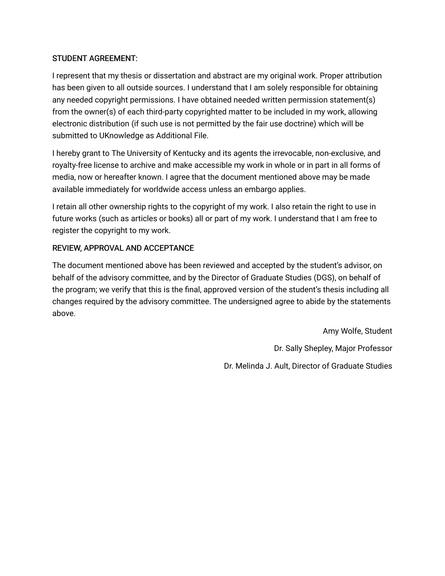## STUDENT AGREEMENT:

I represent that my thesis or dissertation and abstract are my original work. Proper attribution has been given to all outside sources. I understand that I am solely responsible for obtaining any needed copyright permissions. I have obtained needed written permission statement(s) from the owner(s) of each third-party copyrighted matter to be included in my work, allowing electronic distribution (if such use is not permitted by the fair use doctrine) which will be submitted to UKnowledge as Additional File.

I hereby grant to The University of Kentucky and its agents the irrevocable, non-exclusive, and royalty-free license to archive and make accessible my work in whole or in part in all forms of media, now or hereafter known. I agree that the document mentioned above may be made available immediately for worldwide access unless an embargo applies.

I retain all other ownership rights to the copyright of my work. I also retain the right to use in future works (such as articles or books) all or part of my work. I understand that I am free to register the copyright to my work.

## REVIEW, APPROVAL AND ACCEPTANCE

The document mentioned above has been reviewed and accepted by the student's advisor, on behalf of the advisory committee, and by the Director of Graduate Studies (DGS), on behalf of the program; we verify that this is the final, approved version of the student's thesis including all changes required by the advisory committee. The undersigned agree to abide by the statements above.

> Amy Wolfe, Student Dr. Sally Shepley, Major Professor Dr. Melinda J. Ault, Director of Graduate Studies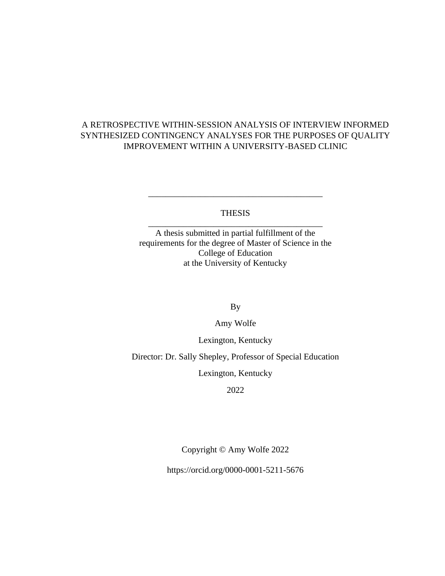# A RETROSPECTIVE WITHIN-SESSION ANALYSIS OF INTERVIEW INFORMED SYNTHESIZED CONTINGENCY ANALYSES FOR THE PURPOSES OF QUALITY IMPROVEMENT WITHIN A UNIVERSITY-BASED CLINIC

### THESIS \_\_\_\_\_\_\_\_\_\_\_\_\_\_\_\_\_\_\_\_\_\_\_\_\_\_\_\_\_\_\_\_\_\_\_\_\_\_\_\_

\_\_\_\_\_\_\_\_\_\_\_\_\_\_\_\_\_\_\_\_\_\_\_\_\_\_\_\_\_\_\_\_\_\_\_\_\_\_\_\_

A thesis submitted in partial fulfillment of the requirements for the degree of Master of Science in the College of Education at the University of Kentucky

By

Amy Wolfe

Lexington, Kentucky

Director: Dr. Sally Shepley, Professor of Special Education

Lexington, Kentucky

2022

Copyright © Amy Wolfe 2022

https://orcid.org/0000-0001-5211-5676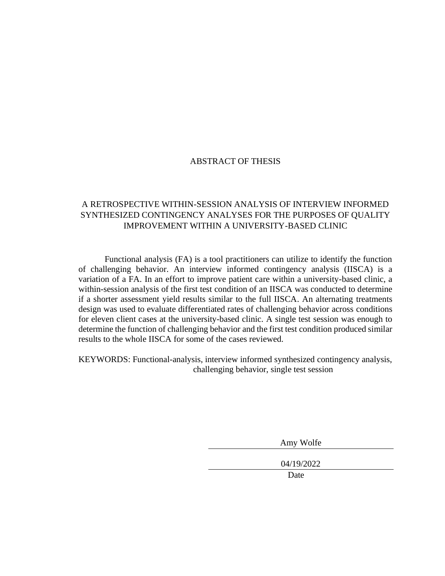### ABSTRACT OF THESIS

# A RETROSPECTIVE WITHIN-SESSION ANALYSIS OF INTERVIEW INFORMED SYNTHESIZED CONTINGENCY ANALYSES FOR THE PURPOSES OF QUALITY IMPROVEMENT WITHIN A UNIVERSITY-BASED CLINIC

Functional analysis (FA) is a tool practitioners can utilize to identify the function of challenging behavior. An interview informed contingency analysis (IISCA) is a variation of a FA. In an effort to improve patient care within a university-based clinic, a within-session analysis of the first test condition of an IISCA was conducted to determine if a shorter assessment yield results similar to the full IISCA. An alternating treatments design was used to evaluate differentiated rates of challenging behavior across conditions for eleven client cases at the university-based clinic. A single test session was enough to determine the function of challenging behavior and the first test condition produced similar results to the whole IISCA for some of the cases reviewed.

KEYWORDS: Functional-analysis, interview informed synthesized contingency analysis, challenging behavior, single test session

Amy Wolfe

04/19/2022

Date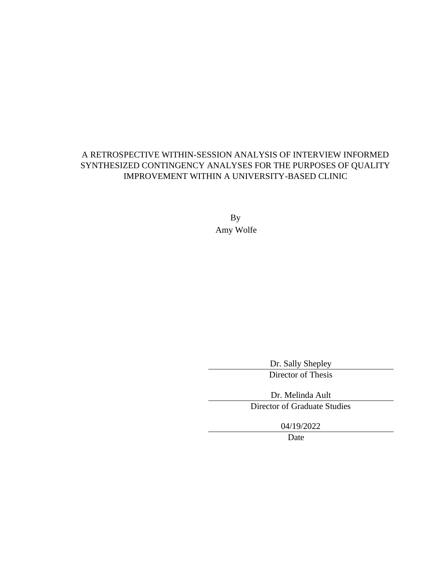# A RETROSPECTIVE WITHIN-SESSION ANALYSIS OF INTERVIEW INFORMED SYNTHESIZED CONTINGENCY ANALYSES FOR THE PURPOSES OF QUALITY IMPROVEMENT WITHIN A UNIVERSITY-BASED CLINIC

By Amy Wolfe

Dr. Sally Shepley

Director of Thesis

Dr. Melinda Ault Director of Graduate Studies

04/19/2022

Date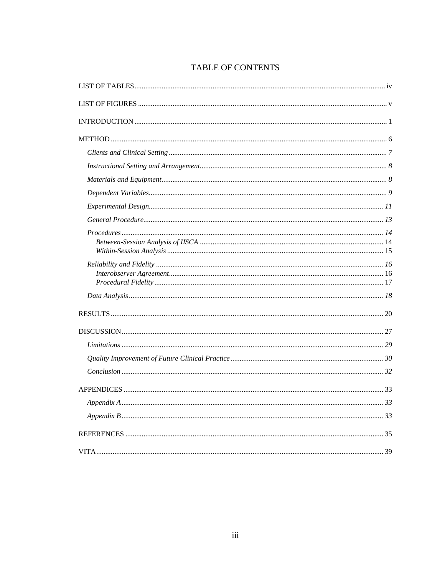# TABLE OF CONTENTS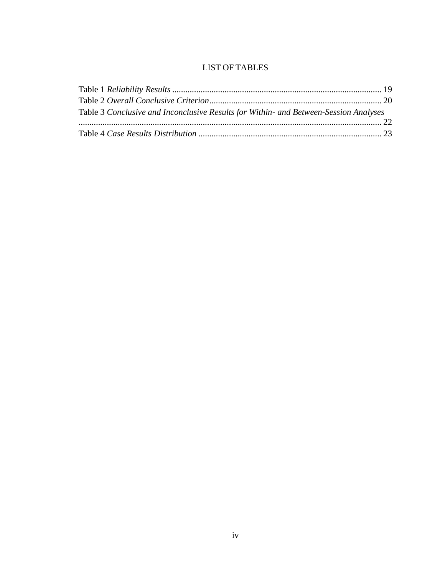# LIST OF TABLES

<span id="page-6-0"></span>

| Table 3 Conclusive and Inconclusive Results for Within- and Between-Session Analyses |  |
|--------------------------------------------------------------------------------------|--|
|                                                                                      |  |
|                                                                                      |  |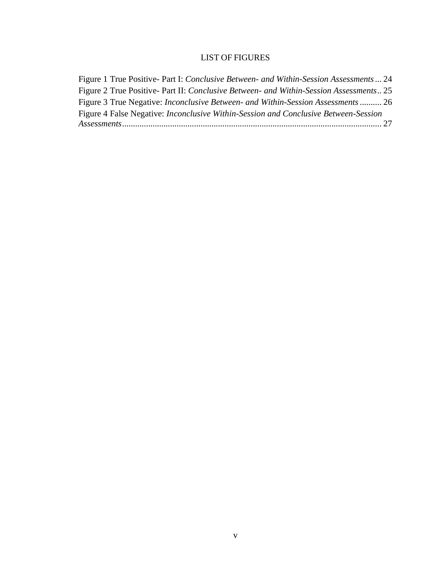# LIST OF FIGURES

<span id="page-7-0"></span>

| Figure 1 True Positive- Part I: Conclusive Between- and Within-Session Assessments  24 |
|----------------------------------------------------------------------------------------|
| Figure 2 True Positive- Part II: Conclusive Between- and Within-Session Assessments 25 |
| Figure 3 True Negative: <i>Inconclusive Between- and Within-Session Assessments</i> 26 |
| Figure 4 False Negative: Inconclusive Within-Session and Conclusive Between-Session    |
|                                                                                        |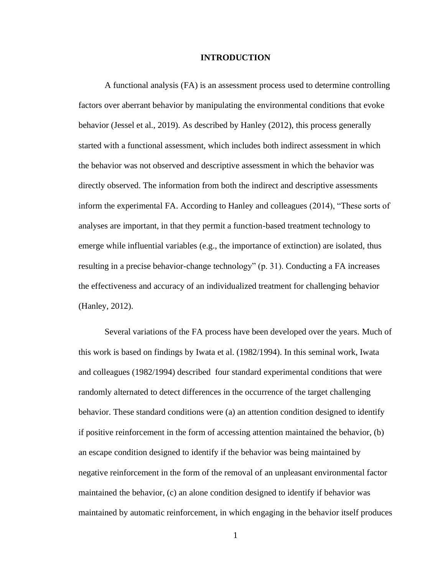#### **INTRODUCTION**

<span id="page-8-0"></span>A functional analysis (FA) is an assessment process used to determine controlling factors over aberrant behavior by manipulating the environmental conditions that evoke behavior (Jessel et al., 2019). As described by Hanley (2012), this process generally started with a functional assessment, which includes both indirect assessment in which the behavior was not observed and descriptive assessment in which the behavior was directly observed. The information from both the indirect and descriptive assessments inform the experimental FA. According to Hanley and colleagues (2014), "These sorts of analyses are important, in that they permit a function-based treatment technology to emerge while influential variables (e.g., the importance of extinction) are isolated, thus resulting in a precise behavior-change technology" (p. 31). Conducting a FA increases the effectiveness and accuracy of an individualized treatment for challenging behavior (Hanley, 2012).

Several variations of the FA process have been developed over the years. Much of this work is based on findings by Iwata et al. (1982/1994). In this seminal work, Iwata and colleagues (1982/1994) described four standard experimental conditions that were randomly alternated to detect differences in the occurrence of the target challenging behavior. These standard conditions were (a) an attention condition designed to identify if positive reinforcement in the form of accessing attention maintained the behavior, (b) an escape condition designed to identify if the behavior was being maintained by negative reinforcement in the form of the removal of an unpleasant environmental factor maintained the behavior, (c) an alone condition designed to identify if behavior was maintained by automatic reinforcement, in which engaging in the behavior itself produces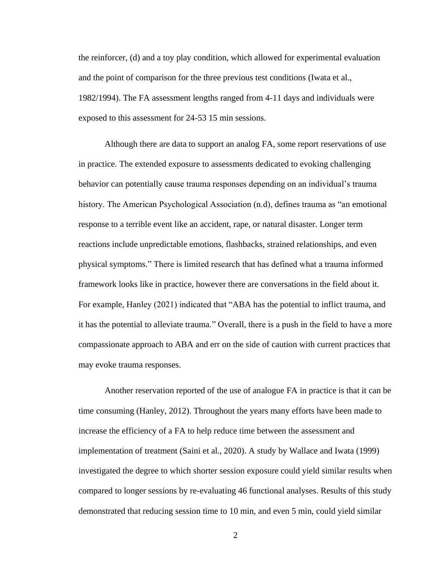the reinforcer, (d) and a toy play condition, which allowed for experimental evaluation and the point of comparison for the three previous test conditions (Iwata et al., 1982/1994). The FA assessment lengths ranged from 4-11 days and individuals were exposed to this assessment for 24-53 15 min sessions.

Although there are data to support an analog FA, some report reservations of use in practice. The extended exposure to assessments dedicated to evoking challenging behavior can potentially cause trauma responses depending on an individual's trauma history. The American Psychological Association (n.d), defines trauma as "an emotional response to a terrible event like an accident, rape, or natural disaster. Longer term reactions include unpredictable emotions, flashbacks, strained relationships, and even physical symptoms." There is limited research that has defined what a trauma informed framework looks like in practice, however there are conversations in the field about it. For example, Hanley (2021) indicated that "ABA has the potential to inflict trauma, and it has the potential to alleviate trauma." Overall, there is a push in the field to have a more compassionate approach to ABA and err on the side of caution with current practices that may evoke trauma responses.

Another reservation reported of the use of analogue FA in practice is that it can be time consuming (Hanley, 2012). Throughout the years many efforts have been made to increase the efficiency of a FA to help reduce time between the assessment and implementation of treatment (Saini et al., 2020). A study by Wallace and Iwata (1999) investigated the degree to which shorter session exposure could yield similar results when compared to longer sessions by re-evaluating 46 functional analyses. Results of this study demonstrated that reducing session time to 10 min, and even 5 min, could yield similar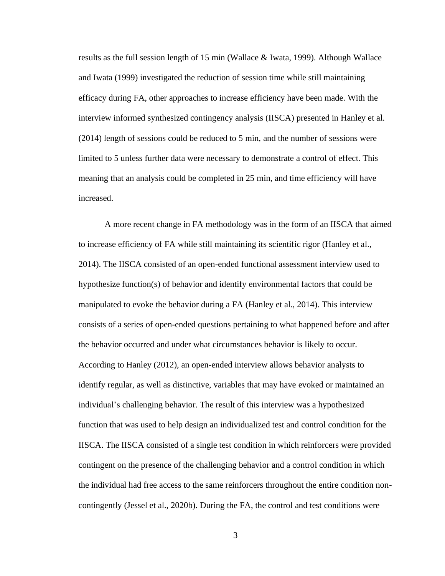results as the full session length of 15 min (Wallace & Iwata, 1999). Although Wallace and Iwata (1999) investigated the reduction of session time while still maintaining efficacy during FA, other approaches to increase efficiency have been made. With the interview informed synthesized contingency analysis (IISCA) presented in Hanley et al. (2014) length of sessions could be reduced to 5 min, and the number of sessions were limited to 5 unless further data were necessary to demonstrate a control of effect. This meaning that an analysis could be completed in 25 min, and time efficiency will have increased.

A more recent change in FA methodology was in the form of an IISCA that aimed to increase efficiency of FA while still maintaining its scientific rigor (Hanley et al., 2014). The IISCA consisted of an open-ended functional assessment interview used to hypothesize function(s) of behavior and identify environmental factors that could be manipulated to evoke the behavior during a FA (Hanley et al., 2014). This interview consists of a series of open-ended questions pertaining to what happened before and after the behavior occurred and under what circumstances behavior is likely to occur. According to Hanley (2012), an open-ended interview allows behavior analysts to identify regular, as well as distinctive, variables that may have evoked or maintained an individual's challenging behavior. The result of this interview was a hypothesized function that was used to help design an individualized test and control condition for the IISCA. The IISCA consisted of a single test condition in which reinforcers were provided contingent on the presence of the challenging behavior and a control condition in which the individual had free access to the same reinforcers throughout the entire condition noncontingently (Jessel et al., 2020b). During the FA, the control and test conditions were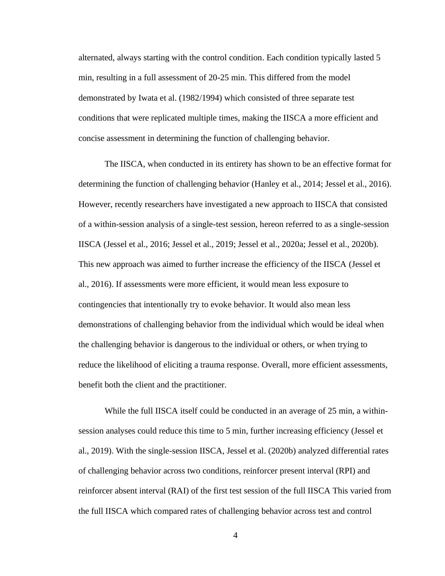alternated, always starting with the control condition. Each condition typically lasted 5 min, resulting in a full assessment of 20-25 min. This differed from the model demonstrated by Iwata et al. (1982/1994) which consisted of three separate test conditions that were replicated multiple times, making the IISCA a more efficient and concise assessment in determining the function of challenging behavior.

The IISCA, when conducted in its entirety has shown to be an effective format for determining the function of challenging behavior (Hanley et al., 2014; Jessel et al., 2016). However, recently researchers have investigated a new approach to IISCA that consisted of a within-session analysis of a single-test session, hereon referred to as a single-session IISCA (Jessel et al., 2016; Jessel et al., 2019; Jessel et al., 2020a; Jessel et al., 2020b). This new approach was aimed to further increase the efficiency of the IISCA (Jessel et al., 2016). If assessments were more efficient, it would mean less exposure to contingencies that intentionally try to evoke behavior. It would also mean less demonstrations of challenging behavior from the individual which would be ideal when the challenging behavior is dangerous to the individual or others, or when trying to reduce the likelihood of eliciting a trauma response. Overall, more efficient assessments, benefit both the client and the practitioner.

While the full IISCA itself could be conducted in an average of 25 min, a withinsession analyses could reduce this time to 5 min, further increasing efficiency (Jessel et al., 2019). With the single-session IISCA, Jessel et al. (2020b) analyzed differential rates of challenging behavior across two conditions, reinforcer present interval (RPI) and reinforcer absent interval (RAI) of the first test session of the full IISCA This varied from the full IISCA which compared rates of challenging behavior across test and control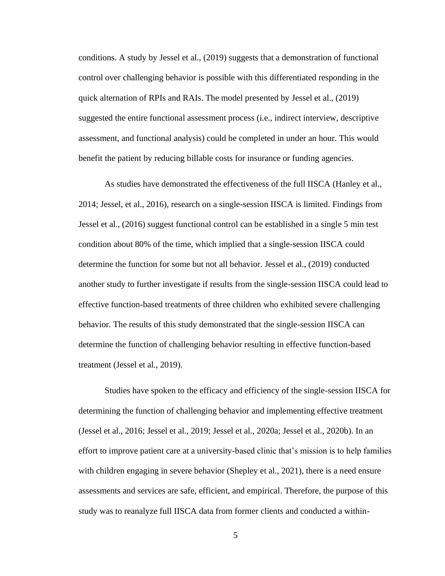conditions. A study by Jessel et al., (2019) suggests that a demonstration of functional control over challenging behavior is possible with this differentiated responding in the quick alternation of RPIs and RAIs. The model presented by Jessel et al., (2019) suggested the entire functional assessment process (i.e., indirect interview, descriptive assessment, and functional analysis) could be completed in under an hour. This would benefit the patient by reducing billable costs for insurance or funding agencies.

As studies have demonstrated the effectiveness of the full IISCA (Hanley et al., 2014; Jessel, et al., 2016), research on a single-session IISCA is limited. Findings from Jessel et al., (2016) suggest functional control can be established in a single 5 min test condition about 80% of the time, which implied that a single-session IISCA could determine the function for some but not all behavior. Jessel et al., (2019) conducted another study to further investigate if results from the single-session IISCA could lead to effective function-based treatments of three children who exhibited severe challenging behavior. The results of this study demonstrated that the single-session IISCA can determine the function of challenging behavior resulting in effective function-based treatment (Jessel et al., 2019).

Studies have spoken to the efficacy and efficiency of the single-session IISCA for determining the function of challenging behavior and implementing effective treatment (Jessel et al., 2016; Jessel et al., 2019; Jessel et al., 2020a; Jessel et al., 2020b). In an effort to improve patient care at a university-based clinic that's mission is to help families with children engaging in severe behavior (Shepley et al., 2021), there is a need ensure assessments and services are safe, efficient, and empirical. Therefore, the purpose of this study was to reanalyze full IISCA data from former clients and conducted a within-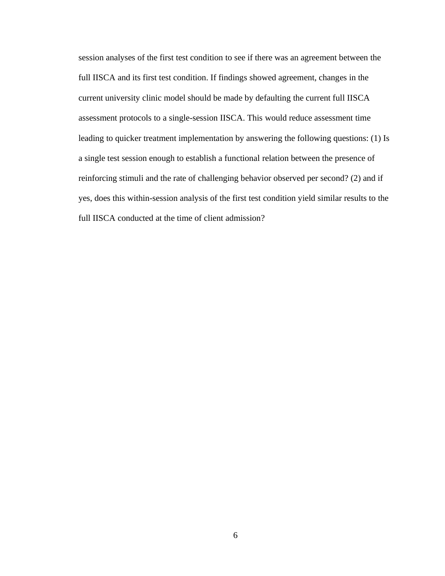<span id="page-13-0"></span>session analyses of the first test condition to see if there was an agreement between the full IISCA and its first test condition. If findings showed agreement, changes in the current university clinic model should be made by defaulting the current full IISCA assessment protocols to a single-session IISCA. This would reduce assessment time leading to quicker treatment implementation by answering the following questions: (1) Is a single test session enough to establish a functional relation between the presence of reinforcing stimuli and the rate of challenging behavior observed per second? (2) and if yes, does this within-session analysis of the first test condition yield similar results to the full IISCA conducted at the time of client admission?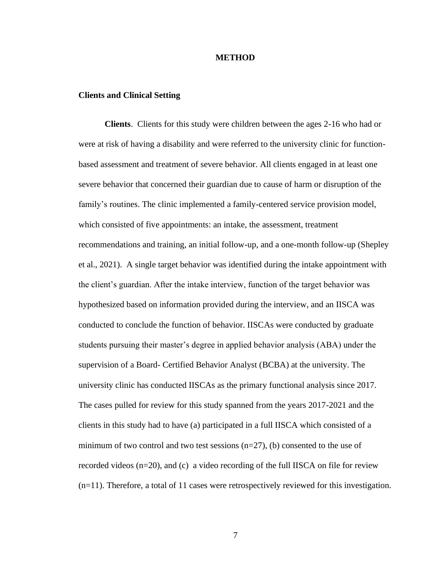#### **METHOD**

#### <span id="page-14-0"></span>**Clients and Clinical Setting**

**Clients**. Clients for this study were children between the ages 2-16 who had or were at risk of having a disability and were referred to the university clinic for functionbased assessment and treatment of severe behavior. All clients engaged in at least one severe behavior that concerned their guardian due to cause of harm or disruption of the family's routines. The clinic implemented a family-centered service provision model, which consisted of five appointments: an intake, the assessment, treatment recommendations and training, an initial follow-up, and a one-month follow-up (Shepley et al., 2021). A single target behavior was identified during the intake appointment with the client's guardian. After the intake interview, function of the target behavior was hypothesized based on information provided during the interview, and an IISCA was conducted to conclude the function of behavior. IISCAs were conducted by graduate students pursuing their master's degree in applied behavior analysis (ABA) under the supervision of a Board- Certified Behavior Analyst (BCBA) at the university. The university clinic has conducted IISCAs as the primary functional analysis since 2017. The cases pulled for review for this study spanned from the years 2017-2021 and the clients in this study had to have (a) participated in a full IISCA which consisted of a minimum of two control and two test sessions  $(n=27)$ , (b) consented to the use of recorded videos (n=20), and (c) a video recording of the full IISCA on file for review (n=11). Therefore, a total of 11 cases were retrospectively reviewed for this investigation.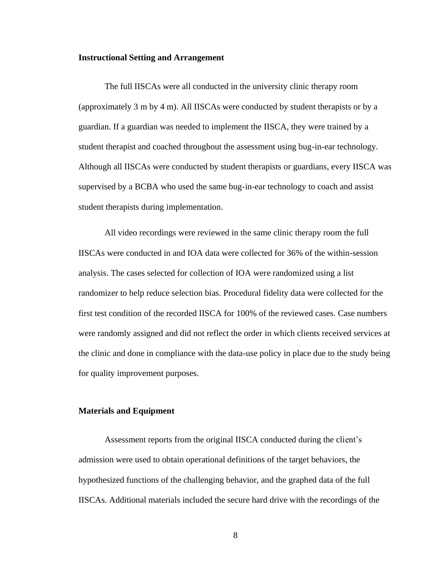#### <span id="page-15-0"></span>**Instructional Setting and Arrangement**

The full IISCAs were all conducted in the university clinic therapy room (approximately 3 m by 4 m). All IISCAs were conducted by student therapists or by a guardian. If a guardian was needed to implement the IISCA, they were trained by a student therapist and coached throughout the assessment using bug-in-ear technology. Although all IISCAs were conducted by student therapists or guardians, every IISCA was supervised by a BCBA who used the same bug-in-ear technology to coach and assist student therapists during implementation.

All video recordings were reviewed in the same clinic therapy room the full IISCAs were conducted in and IOA data were collected for 36% of the within-session analysis. The cases selected for collection of IOA were randomized using a list randomizer to help reduce selection bias. Procedural fidelity data were collected for the first test condition of the recorded IISCA for 100% of the reviewed cases. Case numbers were randomly assigned and did not reflect the order in which clients received services at the clinic and done in compliance with the data-use policy in place due to the study being for quality improvement purposes.

#### <span id="page-15-1"></span>**Materials and Equipment**

Assessment reports from the original IISCA conducted during the client's admission were used to obtain operational definitions of the target behaviors, the hypothesized functions of the challenging behavior, and the graphed data of the full IISCAs. Additional materials included the secure hard drive with the recordings of the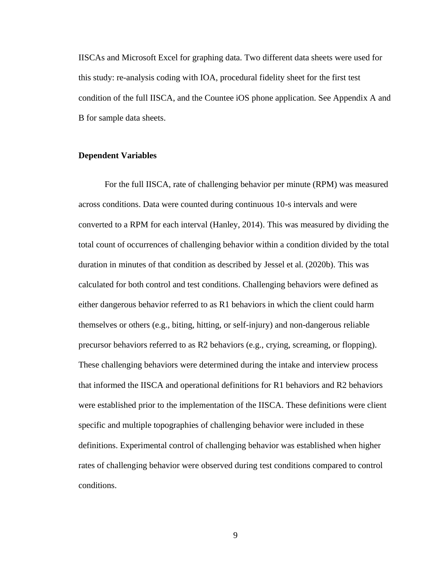IISCAs and Microsoft Excel for graphing data. Two different data sheets were used for this study: re-analysis coding with IOA, procedural fidelity sheet for the first test condition of the full IISCA, and the Countee iOS phone application. See Appendix A and B for sample data sheets.

#### <span id="page-16-0"></span>**Dependent Variables**

For the full IISCA, rate of challenging behavior per minute (RPM) was measured across conditions. Data were counted during continuous 10-s intervals and were converted to a RPM for each interval (Hanley, 2014). This was measured by dividing the total count of occurrences of challenging behavior within a condition divided by the total duration in minutes of that condition as described by Jessel et al. (2020b). This was calculated for both control and test conditions. Challenging behaviors were defined as either dangerous behavior referred to as R1 behaviors in which the client could harm themselves or others (e.g., biting, hitting, or self-injury) and non-dangerous reliable precursor behaviors referred to as R2 behaviors (e.g., crying, screaming, or flopping). These challenging behaviors were determined during the intake and interview process that informed the IISCA and operational definitions for R1 behaviors and R2 behaviors were established prior to the implementation of the IISCA. These definitions were client specific and multiple topographies of challenging behavior were included in these definitions. Experimental control of challenging behavior was established when higher rates of challenging behavior were observed during test conditions compared to control conditions.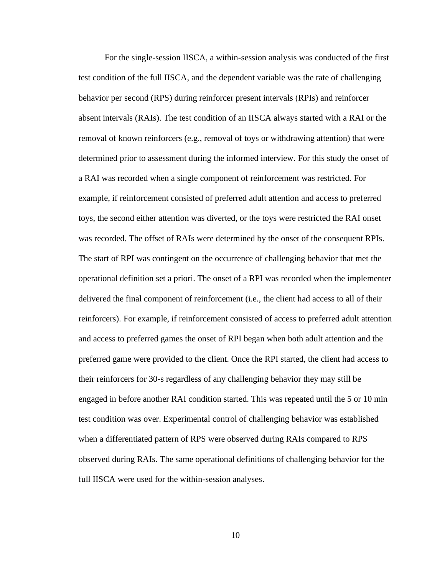For the single-session IISCA, a within-session analysis was conducted of the first test condition of the full IISCA, and the dependent variable was the rate of challenging behavior per second (RPS) during reinforcer present intervals (RPIs) and reinforcer absent intervals (RAIs). The test condition of an IISCA always started with a RAI or the removal of known reinforcers (e.g., removal of toys or withdrawing attention) that were determined prior to assessment during the informed interview. For this study the onset of a RAI was recorded when a single component of reinforcement was restricted. For example, if reinforcement consisted of preferred adult attention and access to preferred toys, the second either attention was diverted, or the toys were restricted the RAI onset was recorded. The offset of RAIs were determined by the onset of the consequent RPIs. The start of RPI was contingent on the occurrence of challenging behavior that met the operational definition set a priori. The onset of a RPI was recorded when the implementer delivered the final component of reinforcement (i.e., the client had access to all of their reinforcers). For example, if reinforcement consisted of access to preferred adult attention and access to preferred games the onset of RPI began when both adult attention and the preferred game were provided to the client. Once the RPI started, the client had access to their reinforcers for 30-s regardless of any challenging behavior they may still be engaged in before another RAI condition started. This was repeated until the 5 or 10 min test condition was over. Experimental control of challenging behavior was established when a differentiated pattern of RPS were observed during RAIs compared to RPS observed during RAIs. The same operational definitions of challenging behavior for the full IISCA were used for the within-session analyses.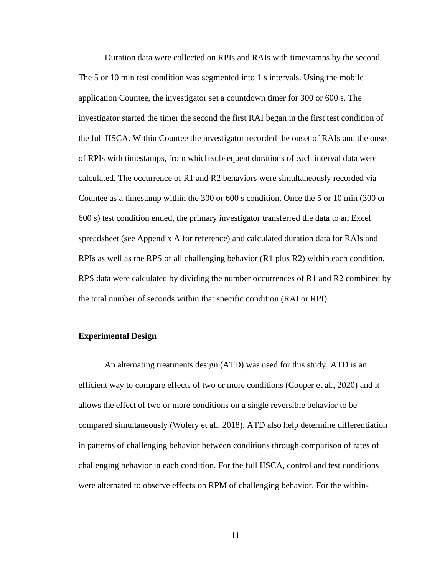Duration data were collected on RPIs and RAIs with timestamps by the second. The 5 or 10 min test condition was segmented into 1 s intervals. Using the mobile application Countee, the investigator set a countdown timer for 300 or 600 s. The investigator started the timer the second the first RAI began in the first test condition of the full IISCA. Within Countee the investigator recorded the onset of RAIs and the onset of RPIs with timestamps, from which subsequent durations of each interval data were calculated. The occurrence of R1 and R2 behaviors were simultaneously recorded via Countee as a timestamp within the 300 or 600 s condition. Once the 5 or 10 min (300 or 600 s) test condition ended, the primary investigator transferred the data to an Excel spreadsheet (see Appendix A for reference) and calculated duration data for RAIs and RPIs as well as the RPS of all challenging behavior (R1 plus R2) within each condition. RPS data were calculated by dividing the number occurrences of R1 and R2 combined by the total number of seconds within that specific condition (RAI or RPI).

### <span id="page-18-0"></span>**Experimental Design**

An alternating treatments design (ATD) was used for this study. ATD is an efficient way to compare effects of two or more conditions (Cooper et al., 2020) and it allows the effect of two or more conditions on a single reversible behavior to be compared simultaneously (Wolery et al., 2018). ATD also help determine differentiation in patterns of challenging behavior between conditions through comparison of rates of challenging behavior in each condition. For the full IISCA, control and test conditions were alternated to observe effects on RPM of challenging behavior. For the within-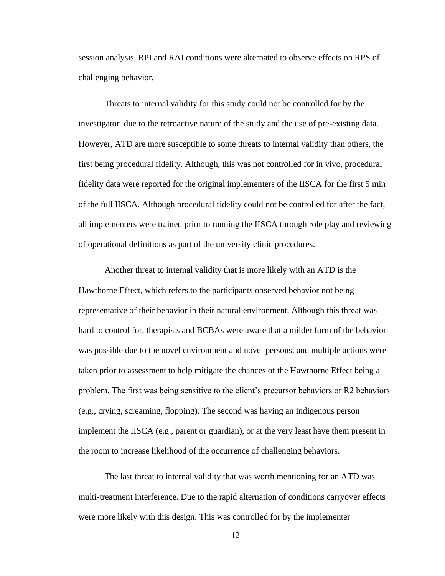session analysis, RPI and RAI conditions were alternated to observe effects on RPS of challenging behavior.

Threats to internal validity for this study could not be controlled for by the investigator due to the retroactive nature of the study and the use of pre-existing data. However, ATD are more susceptible to some threats to internal validity than others, the first being procedural fidelity. Although, this was not controlled for in vivo, procedural fidelity data were reported for the original implementers of the IISCA for the first 5 min of the full IISCA. Although procedural fidelity could not be controlled for after the fact, all implementers were trained prior to running the IISCA through role play and reviewing of operational definitions as part of the university clinic procedures.

Another threat to internal validity that is more likely with an ATD is the Hawthorne Effect, which refers to the participants observed behavior not being representative of their behavior in their natural environment. Although this threat was hard to control for, therapists and BCBAs were aware that a milder form of the behavior was possible due to the novel environment and novel persons, and multiple actions were taken prior to assessment to help mitigate the chances of the Hawthorne Effect being a problem. The first was being sensitive to the client's precursor behaviors or R2 behaviors (e.g., crying, screaming, flopping). The second was having an indigenous person implement the IISCA (e.g., parent or guardian), or at the very least have them present in the room to increase likelihood of the occurrence of challenging behaviors.

The last threat to internal validity that was worth mentioning for an ATD was multi-treatment interference. Due to the rapid alternation of conditions carryover effects were more likely with this design. This was controlled for by the implementer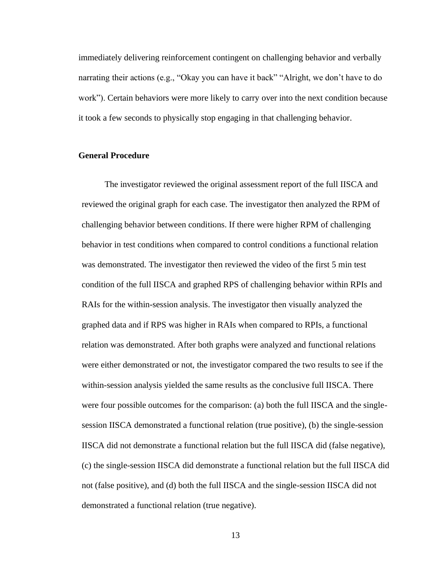immediately delivering reinforcement contingent on challenging behavior and verbally narrating their actions (e.g., "Okay you can have it back" "Alright, we don't have to do work"). Certain behaviors were more likely to carry over into the next condition because it took a few seconds to physically stop engaging in that challenging behavior.

#### <span id="page-20-0"></span>**General Procedure**

The investigator reviewed the original assessment report of the full IISCA and reviewed the original graph for each case. The investigator then analyzed the RPM of challenging behavior between conditions. If there were higher RPM of challenging behavior in test conditions when compared to control conditions a functional relation was demonstrated. The investigator then reviewed the video of the first 5 min test condition of the full IISCA and graphed RPS of challenging behavior within RPIs and RAIs for the within-session analysis. The investigator then visually analyzed the graphed data and if RPS was higher in RAIs when compared to RPIs, a functional relation was demonstrated. After both graphs were analyzed and functional relations were either demonstrated or not, the investigator compared the two results to see if the within-session analysis yielded the same results as the conclusive full IISCA. There were four possible outcomes for the comparison: (a) both the full IISCA and the singlesession IISCA demonstrated a functional relation (true positive), (b) the single-session IISCA did not demonstrate a functional relation but the full IISCA did (false negative), (c) the single-session IISCA did demonstrate a functional relation but the full IISCA did not (false positive), and (d) both the full IISCA and the single-session IISCA did not demonstrated a functional relation (true negative).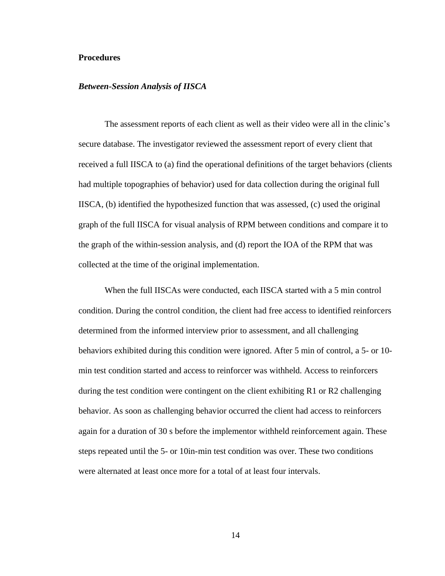#### <span id="page-21-0"></span>**Procedures**

#### <span id="page-21-1"></span>*Between-Session Analysis of IISCA*

The assessment reports of each client as well as their video were all in the clinic's secure database. The investigator reviewed the assessment report of every client that received a full IISCA to (a) find the operational definitions of the target behaviors (clients had multiple topographies of behavior) used for data collection during the original full IISCA, (b) identified the hypothesized function that was assessed, (c) used the original graph of the full IISCA for visual analysis of RPM between conditions and compare it to the graph of the within-session analysis, and (d) report the IOA of the RPM that was collected at the time of the original implementation.

When the full IISCAs were conducted, each IISCA started with a 5 min control condition. During the control condition, the client had free access to identified reinforcers determined from the informed interview prior to assessment, and all challenging behaviors exhibited during this condition were ignored. After 5 min of control, a 5- or 10 min test condition started and access to reinforcer was withheld. Access to reinforcers during the test condition were contingent on the client exhibiting R1 or R2 challenging behavior. As soon as challenging behavior occurred the client had access to reinforcers again for a duration of 30 s before the implementor withheld reinforcement again. These steps repeated until the 5- or 10in-min test condition was over. These two conditions were alternated at least once more for a total of at least four intervals.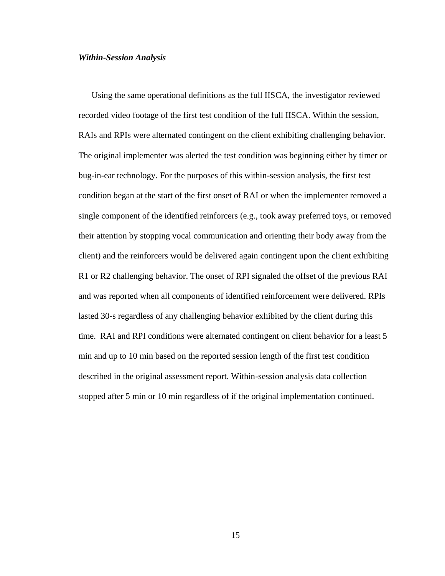#### <span id="page-22-0"></span>*Within-Session Analysis*

Using the same operational definitions as the full IISCA, the investigator reviewed recorded video footage of the first test condition of the full IISCA. Within the session, RAIs and RPIs were alternated contingent on the client exhibiting challenging behavior. The original implementer was alerted the test condition was beginning either by timer or bug-in-ear technology. For the purposes of this within-session analysis, the first test condition began at the start of the first onset of RAI or when the implementer removed a single component of the identified reinforcers (e.g., took away preferred toys, or removed their attention by stopping vocal communication and orienting their body away from the client) and the reinforcers would be delivered again contingent upon the client exhibiting R1 or R2 challenging behavior. The onset of RPI signaled the offset of the previous RAI and was reported when all components of identified reinforcement were delivered. RPIs lasted 30-s regardless of any challenging behavior exhibited by the client during this time. RAI and RPI conditions were alternated contingent on client behavior for a least 5 min and up to 10 min based on the reported session length of the first test condition described in the original assessment report. Within-session analysis data collection stopped after 5 min or 10 min regardless of if the original implementation continued.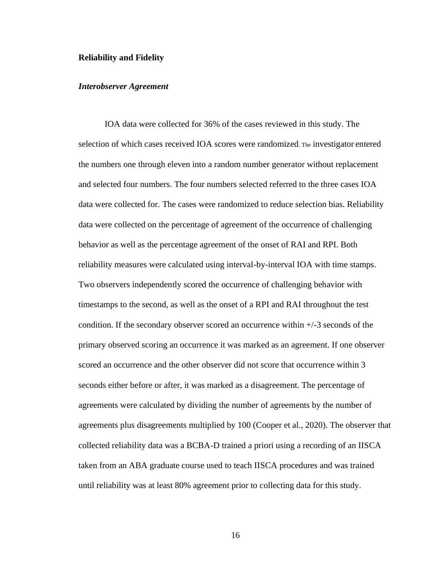#### <span id="page-23-0"></span>**Reliability and Fidelity**

#### <span id="page-23-1"></span>*Interobserver Agreement*

IOA data were collected for 36% of the cases reviewed in this study. The selection of which cases received IOA scores were randomized. The investigator entered the numbers one through eleven into a random number generator without replacement and selected four numbers. The four numbers selected referred to the three cases IOA data were collected for. The cases were randomized to reduce selection bias. Reliability data were collected on the percentage of agreement of the occurrence of challenging behavior as well as the percentage agreement of the onset of RAI and RPI. Both reliability measures were calculated using interval-by-interval IOA with time stamps. Two observers independently scored the occurrence of challenging behavior with timestamps to the second, as well as the onset of a RPI and RAI throughout the test condition. If the secondary observer scored an occurrence within +/-3 seconds of the primary observed scoring an occurrence it was marked as an agreement. If one observer scored an occurrence and the other observer did not score that occurrence within 3 seconds either before or after, it was marked as a disagreement. The percentage of agreements were calculated by dividing the number of agreements by the number of agreements plus disagreements multiplied by 100 (Cooper et al., 2020). The observer that collected reliability data was a BCBA-D trained a priori using a recording of an IISCA taken from an ABA graduate course used to teach IISCA procedures and was trained until reliability was at least 80% agreement prior to collecting data for this study.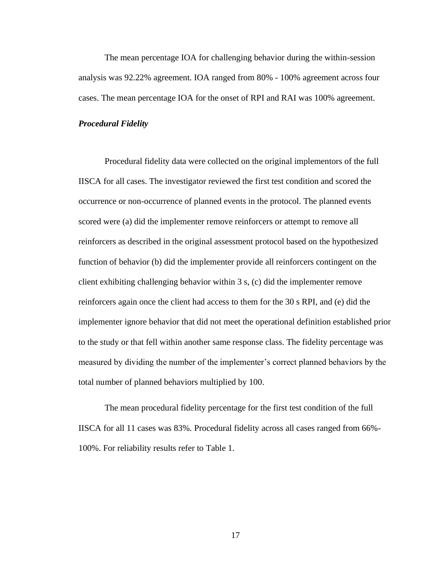The mean percentage IOA for challenging behavior during the within-session analysis was 92.22% agreement. IOA ranged from 80% - 100% agreement across four cases. The mean percentage IOA for the onset of RPI and RAI was 100% agreement.

#### <span id="page-24-0"></span>*Procedural Fidelity*

Procedural fidelity data were collected on the original implementors of the full IISCA for all cases. The investigator reviewed the first test condition and scored the occurrence or non-occurrence of planned events in the protocol. The planned events scored were (a) did the implementer remove reinforcers or attempt to remove all reinforcers as described in the original assessment protocol based on the hypothesized function of behavior (b) did the implementer provide all reinforcers contingent on the client exhibiting challenging behavior within 3 s, (c) did the implementer remove reinforcers again once the client had access to them for the 30 s RPI, and (e) did the implementer ignore behavior that did not meet the operational definition established prior to the study or that fell within another same response class. The fidelity percentage was measured by dividing the number of the implementer's correct planned behaviors by the total number of planned behaviors multiplied by 100.

The mean procedural fidelity percentage for the first test condition of the full IISCA for all 11 cases was 83%. Procedural fidelity across all cases ranged from 66%- 100%. For reliability results refer to Table 1.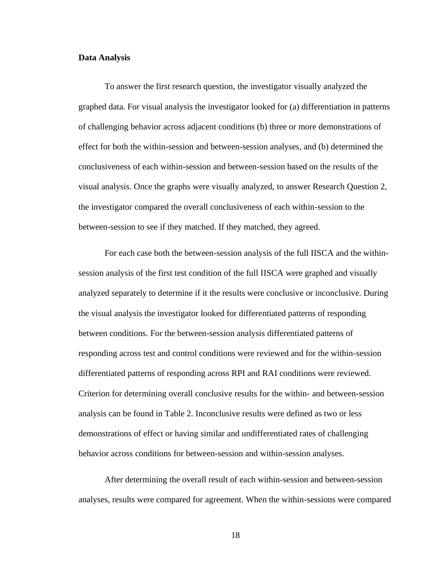#### <span id="page-25-0"></span>**Data Analysis**

To answer the first research question, the investigator visually analyzed the graphed data. For visual analysis the investigator looked for (a) differentiation in patterns of challenging behavior across adjacent conditions (b) three or more demonstrations of effect for both the within-session and between-session analyses, and (b) determined the conclusiveness of each within-session and between-session based on the results of the visual analysis. Once the graphs were visually analyzed, to answer Research Question 2, the investigator compared the overall conclusiveness of each within-session to the between-session to see if they matched. If they matched, they agreed.

For each case both the between-session analysis of the full IISCA and the withinsession analysis of the first test condition of the full IISCA were graphed and visually analyzed separately to determine if it the results were conclusive or inconclusive. During the visual analysis the investigator looked for differentiated patterns of responding between conditions. For the between-session analysis differentiated patterns of responding across test and control conditions were reviewed and for the within-session differentiated patterns of responding across RPI and RAI conditions were reviewed. Criterion for determining overall conclusive results for the within- and between-session analysis can be found in Table 2. Inconclusive results were defined as two or less demonstrations of effect or having similar and undifferentiated rates of challenging behavior across conditions for between-session and within-session analyses.

After determining the overall result of each within-session and between-session analyses, results were compared for agreement. When the within-sessions were compared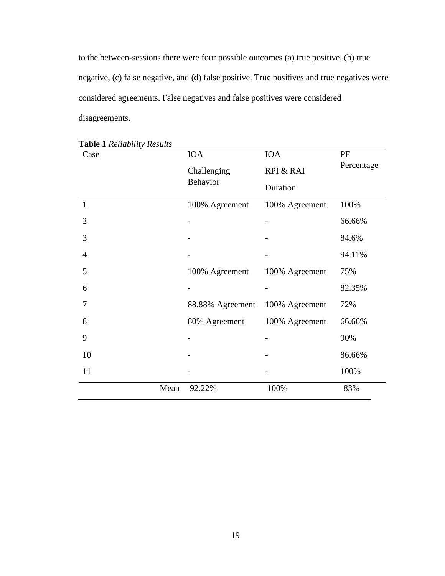to the between-sessions there were four possible outcomes (a) true positive, (b) true negative, (c) false negative, and (d) false positive. True positives and true negatives were considered agreements. False negatives and false positives were considered disagreements.

| Case           | <b>IOA</b>       | <b>IOA</b>     | PF         |  |
|----------------|------------------|----------------|------------|--|
|                | Challenging      | RPI & RAI      | Percentage |  |
|                | <b>Behavior</b>  | Duration       |            |  |
| 1              | 100% Agreement   | 100% Agreement | 100%       |  |
| $\overline{2}$ |                  |                | 66.66%     |  |
| 3              |                  |                | 84.6%      |  |
| 4              |                  |                | 94.11%     |  |
| 5              | 100% Agreement   | 100% Agreement | 75%        |  |
| 6              |                  |                | 82.35%     |  |
| 7              | 88.88% Agreement | 100% Agreement | 72%        |  |
| 8              | 80% Agreement    | 100% Agreement | 66.66%     |  |
| 9              |                  |                | 90%        |  |
| 10             |                  |                | 86.66%     |  |
| 11             |                  |                | 100%       |  |
| Mean           | 92.22%           | 100%           | 83%        |  |

<span id="page-26-0"></span>**Table 1** *Reliability Results*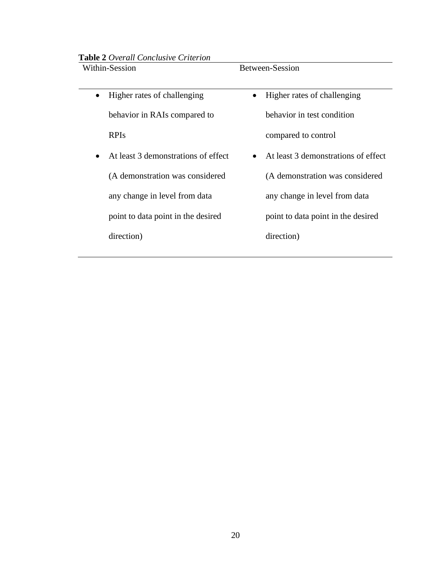<span id="page-27-1"></span>**Table 2** *Overall Conclusive Criterion*

| Within-Session |  |
|----------------|--|
|----------------|--|

• Higher rates of challenging behavior in RAIs compared to RPIs

• At least 3 demonstrations of effect (A demonstration was considered any change in level from data point to data point in the desired

<span id="page-27-0"></span>direction)

Between-Session

- Higher rates of challenging behavior in test condition compared to control
- At least 3 demonstrations of effect (A demonstration was considered any change in level from data point to data point in the desired direction)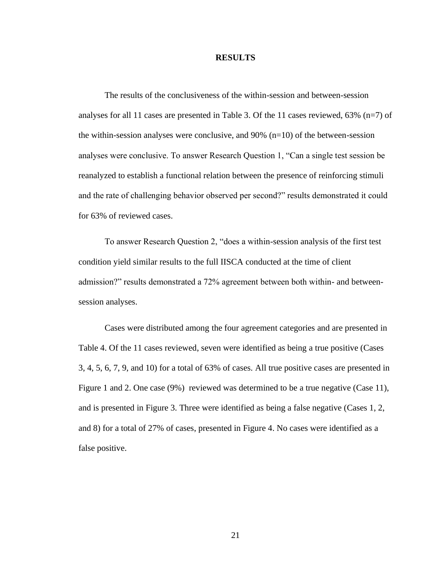#### **RESULTS**

The results of the conclusiveness of the within-session and between-session analyses for all 11 cases are presented in Table 3. Of the 11 cases reviewed,  $63\%$  (n=7) of the within-session analyses were conclusive, and  $90\%$  (n=10) of the between-session analyses were conclusive. To answer Research Question 1, "Can a single test session be reanalyzed to establish a functional relation between the presence of reinforcing stimuli and the rate of challenging behavior observed per second?" results demonstrated it could for 63% of reviewed cases.

To answer Research Question 2, "does a within-session analysis of the first test condition yield similar results to the full IISCA conducted at the time of client admission?" results demonstrated a 72% agreement between both within- and betweensession analyses.

Cases were distributed among the four agreement categories and are presented in Table 4. Of the 11 cases reviewed, seven were identified as being a true positive (Cases 3, 4, 5, 6, 7, 9, and 10) for a total of 63% of cases. All true positive cases are presented in Figure 1 and 2. One case (9%) reviewed was determined to be a true negative (Case 11), and is presented in Figure 3. Three were identified as being a false negative (Cases 1, 2, and 8) for a total of 27% of cases, presented in Figure 4. No cases were identified as a false positive.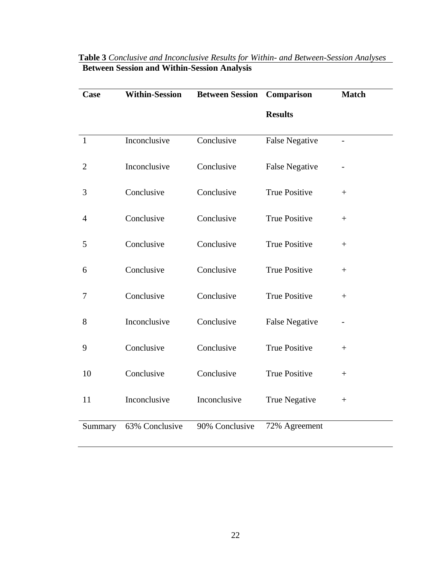| Case           | <b>Within-Session</b> | <b>Between Session</b> | Comparison            | <b>Match</b> |
|----------------|-----------------------|------------------------|-----------------------|--------------|
|                |                       |                        | <b>Results</b>        |              |
| $\mathbf{1}$   | Inconclusive          | Conclusive             | <b>False Negative</b> |              |
| $\overline{c}$ | Inconclusive          | Conclusive             | <b>False Negative</b> |              |
| 3              | Conclusive            | Conclusive             | <b>True Positive</b>  | $+$          |
| $\overline{4}$ | Conclusive            | Conclusive             | <b>True Positive</b>  | $^{+}$       |
| 5              | Conclusive            | Conclusive             | <b>True Positive</b>  | $+$          |
| 6              | Conclusive            | Conclusive             | <b>True Positive</b>  | $^{+}$       |
| 7              | Conclusive            | Conclusive             | <b>True Positive</b>  | $^{+}$       |
| 8              | Inconclusive          | Conclusive             | <b>False Negative</b> |              |
| 9              | Conclusive            | Conclusive             | <b>True Positive</b>  | $+$          |
| 10             | Conclusive            | Conclusive             | <b>True Positive</b>  | $+$          |
| 11             | Inconclusive          | Inconclusive           | <b>True Negative</b>  | $^{+}$       |
| Summary        | 63% Conclusive        | 90% Conclusive         | 72% Agreement         |              |

# <span id="page-29-0"></span>**Table 3** *Conclusive and Inconclusive Results for Within- and Between-Session Analyses* **Between Session and Within-Session Analysis**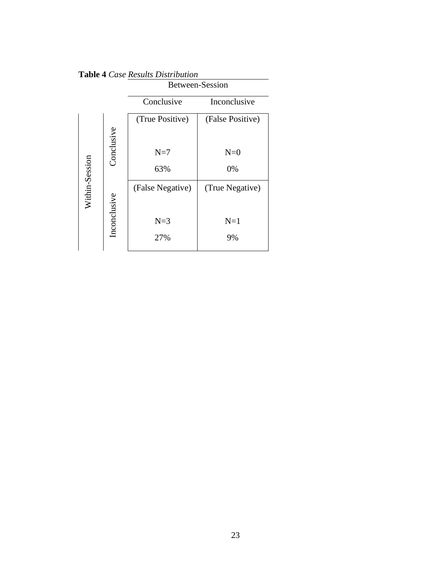|                |              | <b>Between-Session</b> |                  |  |  |
|----------------|--------------|------------------------|------------------|--|--|
|                |              | Conclusive             | Inconclusive     |  |  |
|                |              | (True Positive)        | (False Positive) |  |  |
|                | Conclusive   |                        |                  |  |  |
|                |              | $N=7$                  | $N=0$            |  |  |
|                |              | 63%                    | 0%               |  |  |
| Within-Session |              | (False Negative)       | (True Negative)  |  |  |
|                |              |                        |                  |  |  |
|                | Inconclusive | $N=3$                  | $N=1$            |  |  |
|                |              | 27%                    | 9%               |  |  |
|                |              |                        |                  |  |  |

<span id="page-30-0"></span>**Table 4** *Case Results Distribution*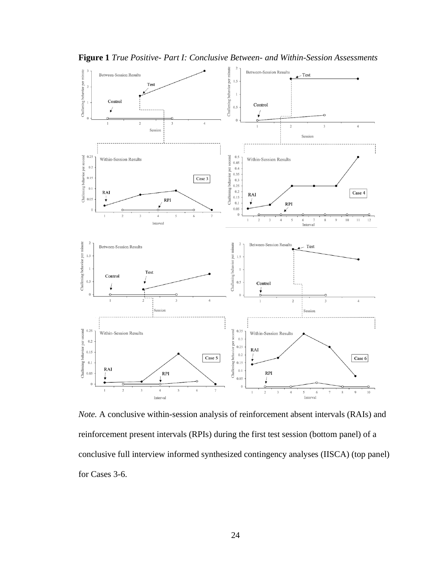

<span id="page-31-0"></span>**Figure 1** *True Positive- Part I: Conclusive Between- and Within-Session Assessments*

*Note.* A conclusive within-session analysis of reinforcement absent intervals (RAIs) and reinforcement present intervals (RPIs) during the first test session (bottom panel) of a conclusive full interview informed synthesized contingency analyses (IISCA) (top panel) for Cases 3-6.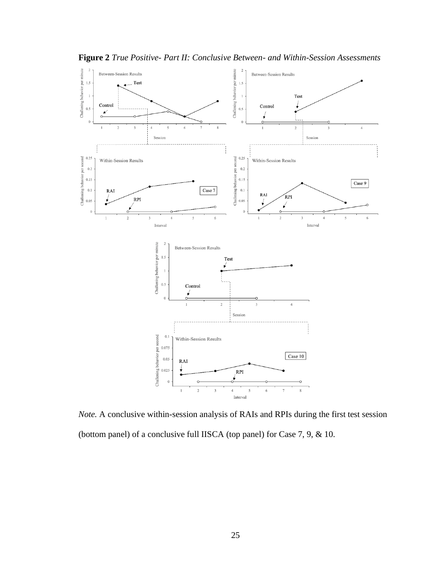

<span id="page-32-0"></span>**Figure 2** *True Positive- Part II: Conclusive Between- and Within-Session Assessments*

*Note.* A conclusive within-session analysis of RAIs and RPIs during the first test session (bottom panel) of a conclusive full IISCA (top panel) for Case 7, 9, & 10.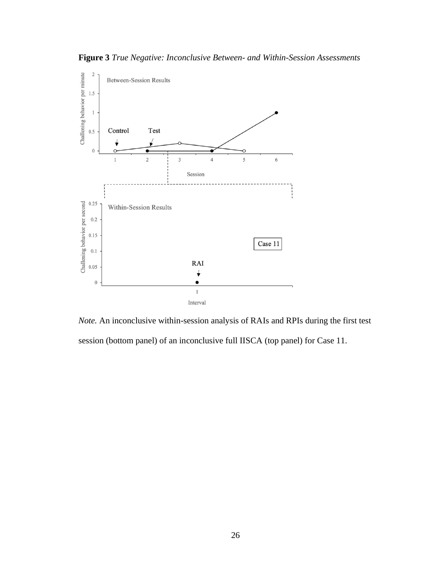<span id="page-33-0"></span>**Figure 3** *True Negative: Inconclusive Between- and Within-Session Assessments*



*Note.* An inconclusive within-session analysis of RAIs and RPIs during the first test session (bottom panel) of an inconclusive full IISCA (top panel) for Case 11.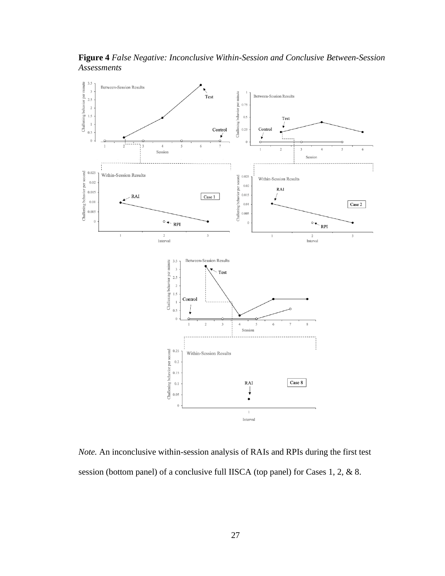<span id="page-34-1"></span>**Figure 4** *False Negative: Inconclusive Within-Session and Conclusive Between-Session Assessments*



<span id="page-34-0"></span>*Note.* An inconclusive within-session analysis of RAIs and RPIs during the first test session (bottom panel) of a conclusive full IISCA (top panel) for Cases 1, 2, & 8.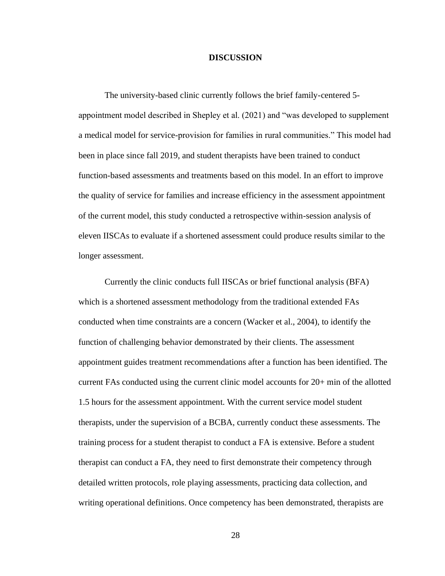#### **DISCUSSION**

The university-based clinic currently follows the brief family-centered 5 appointment model described in Shepley et al. (2021) and "was developed to supplement a medical model for service-provision for families in rural communities." This model had been in place since fall 2019, and student therapists have been trained to conduct function-based assessments and treatments based on this model. In an effort to improve the quality of service for families and increase efficiency in the assessment appointment of the current model, this study conducted a retrospective within-session analysis of eleven IISCAs to evaluate if a shortened assessment could produce results similar to the longer assessment.

Currently the clinic conducts full IISCAs or brief functional analysis (BFA) which is a shortened assessment methodology from the traditional extended FAs conducted when time constraints are a concern (Wacker et al., 2004), to identify the function of challenging behavior demonstrated by their clients. The assessment appointment guides treatment recommendations after a function has been identified. The current FAs conducted using the current clinic model accounts for 20+ min of the allotted 1.5 hours for the assessment appointment. With the current service model student therapists, under the supervision of a BCBA, currently conduct these assessments. The training process for a student therapist to conduct a FA is extensive. Before a student therapist can conduct a FA, they need to first demonstrate their competency through detailed written protocols, role playing assessments, practicing data collection, and writing operational definitions. Once competency has been demonstrated, therapists are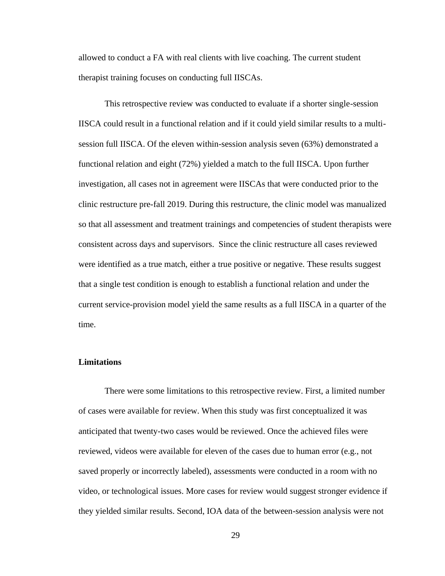allowed to conduct a FA with real clients with live coaching. The current student therapist training focuses on conducting full IISCAs.

This retrospective review was conducted to evaluate if a shorter single-session IISCA could result in a functional relation and if it could yield similar results to a multisession full IISCA. Of the eleven within-session analysis seven (63%) demonstrated a functional relation and eight (72%) yielded a match to the full IISCA. Upon further investigation, all cases not in agreement were IISCAs that were conducted prior to the clinic restructure pre-fall 2019. During this restructure, the clinic model was manualized so that all assessment and treatment trainings and competencies of student therapists were consistent across days and supervisors. Since the clinic restructure all cases reviewed were identified as a true match, either a true positive or negative. These results suggest that a single test condition is enough to establish a functional relation and under the current service-provision model yield the same results as a full IISCA in a quarter of the time.

#### <span id="page-36-0"></span>**Limitations**

There were some limitations to this retrospective review. First, a limited number of cases were available for review. When this study was first conceptualized it was anticipated that twenty-two cases would be reviewed. Once the achieved files were reviewed, videos were available for eleven of the cases due to human error (e.g., not saved properly or incorrectly labeled), assessments were conducted in a room with no video, or technological issues. More cases for review would suggest stronger evidence if they yielded similar results. Second, IOA data of the between-session analysis were not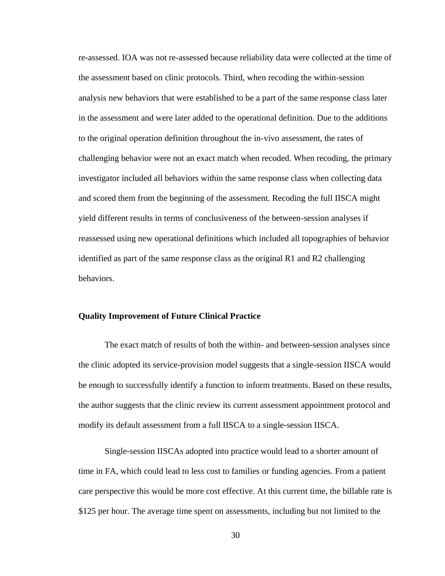re-assessed. IOA was not re-assessed because reliability data were collected at the time of the assessment based on clinic protocols. Third, when recoding the within-session analysis new behaviors that were established to be a part of the same response class later in the assessment and were later added to the operational definition. Due to the additions to the original operation definition throughout the in-vivo assessment, the rates of challenging behavior were not an exact match when recoded. When recoding, the primary investigator included all behaviors within the same response class when collecting data and scored them from the beginning of the assessment. Recoding the full IISCA might yield different results in terms of conclusiveness of the between-session analyses if reassessed using new operational definitions which included all topographies of behavior identified as part of the same response class as the original R1 and R2 challenging behaviors.

### <span id="page-37-0"></span>**Quality Improvement of Future Clinical Practice**

The exact match of results of both the within- and between-session analyses since the clinic adopted its service-provision model suggests that a single-session IISCA would be enough to successfully identify a function to inform treatments. Based on these results, the author suggests that the clinic review its current assessment appointment protocol and modify its default assessment from a full IISCA to a single-session IISCA.

Single-session IISCAs adopted into practice would lead to a shorter amount of time in FA, which could lead to less cost to families or funding agencies. From a patient care perspective this would be more cost effective. At this current time, the billable rate is \$125 per hour. The average time spent on assessments, including but not limited to the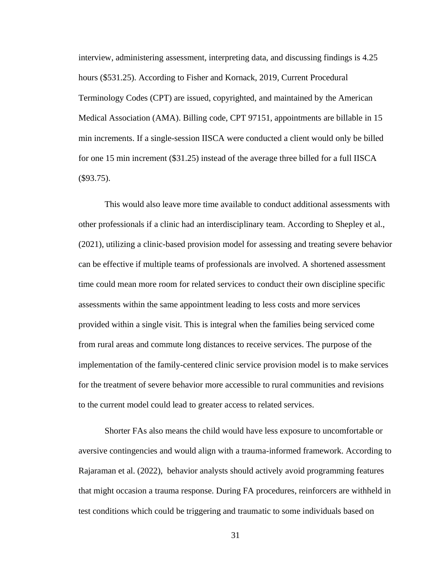interview, administering assessment, interpreting data, and discussing findings is 4.25 hours (\$531.25). According to Fisher and Kornack, 2019, Current Procedural Terminology Codes (CPT) are issued, copyrighted, and maintained by the American Medical Association (AMA). Billing code, CPT 97151, appointments are billable in 15 min increments. If a single-session IISCA were conducted a client would only be billed for one 15 min increment (\$31.25) instead of the average three billed for a full IISCA (\$93.75).

This would also leave more time available to conduct additional assessments with other professionals if a clinic had an interdisciplinary team. According to Shepley et al., (2021), utilizing a clinic-based provision model for assessing and treating severe behavior can be effective if multiple teams of professionals are involved. A shortened assessment time could mean more room for related services to conduct their own discipline specific assessments within the same appointment leading to less costs and more services provided within a single visit. This is integral when the families being serviced come from rural areas and commute long distances to receive services. The purpose of the implementation of the family-centered clinic service provision model is to make services for the treatment of severe behavior more accessible to rural communities and revisions to the current model could lead to greater access to related services.

Shorter FAs also means the child would have less exposure to uncomfortable or aversive contingencies and would align with a trauma-informed framework. According to Rajaraman et al. (2022), behavior analysts should actively avoid programming features that might occasion a trauma response. During FA procedures, reinforcers are withheld in test conditions which could be triggering and traumatic to some individuals based on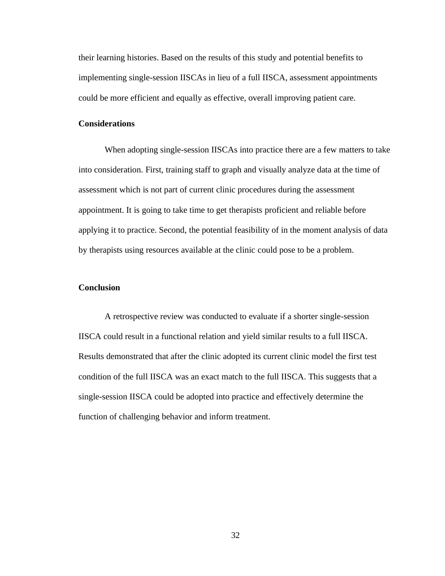their learning histories. Based on the results of this study and potential benefits to implementing single-session IISCAs in lieu of a full IISCA, assessment appointments could be more efficient and equally as effective, overall improving patient care.

#### **Considerations**

When adopting single-session IISCAs into practice there are a few matters to take into consideration. First, training staff to graph and visually analyze data at the time of assessment which is not part of current clinic procedures during the assessment appointment. It is going to take time to get therapists proficient and reliable before applying it to practice. Second, the potential feasibility of in the moment analysis of data by therapists using resources available at the clinic could pose to be a problem.

#### <span id="page-39-0"></span>**Conclusion**

A retrospective review was conducted to evaluate if a shorter single-session IISCA could result in a functional relation and yield similar results to a full IISCA. Results demonstrated that after the clinic adopted its current clinic model the first test condition of the full IISCA was an exact match to the full IISCA. This suggests that a single-session IISCA could be adopted into practice and effectively determine the function of challenging behavior and inform treatment.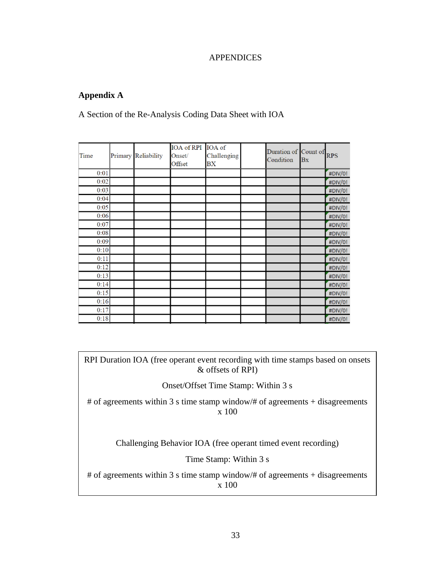### **APPENDICES**

### <span id="page-40-1"></span><span id="page-40-0"></span>**Appendix A**

A Section of the Re-Analysis Coding Data Sheet with IOA

| Time | Primary Reliability | IOA of RPI IOA of<br>Onset/<br>Offset | Challenging<br>BX | Duration of Count of<br>Condition | <b>Bx</b> | <b>RPS</b> |
|------|---------------------|---------------------------------------|-------------------|-----------------------------------|-----------|------------|
| 0:01 |                     |                                       |                   |                                   |           | #DIV/0!    |
| 0:02 |                     |                                       |                   |                                   |           | #DIV/0!    |
| 0:03 |                     |                                       |                   |                                   |           | #DIV/0!    |
| 0:04 |                     |                                       |                   |                                   |           | #DIV/0!    |
| 0:05 |                     |                                       |                   |                                   |           | #DIV/0!    |
| 0:06 |                     |                                       |                   |                                   |           | #DIV/0!    |
| 0:07 |                     |                                       |                   |                                   |           | #DIV/0!    |
| 0:08 |                     |                                       |                   |                                   |           | #DIV/0!    |
| 0:09 |                     |                                       |                   |                                   |           | #DIV/0!    |
| 0:10 |                     |                                       |                   |                                   |           | #DIV/0!    |
| 0:11 |                     |                                       |                   |                                   |           | #DIV/0!    |
| 0:12 |                     |                                       |                   |                                   |           | #DIV/0!    |
| 0:13 |                     |                                       |                   |                                   |           | #DIV/0!    |
| 0:14 |                     |                                       |                   |                                   |           | #DIV/0!    |
| 0:15 |                     |                                       |                   |                                   |           | #DIV/0!    |
| 0:16 |                     |                                       |                   |                                   |           | #DIV/0!    |
| 0:17 |                     |                                       |                   |                                   |           | #DIV/0!    |
| 0:18 |                     |                                       |                   |                                   |           | #DIV/0!    |

<span id="page-40-2"></span>RPI Duration IOA (free operant event recording with time stamps based on onsets & offsets of RPI)

Onset/Offset Time Stamp: Within 3 s

# of agreements within 3 s time stamp window/# of agreements + disagreements x 100

Challenging Behavior IOA (free operant timed event recording)

Time Stamp: Within 3 s

# of agreements within 3 s time stamp window/# of agreements + disagreements x 100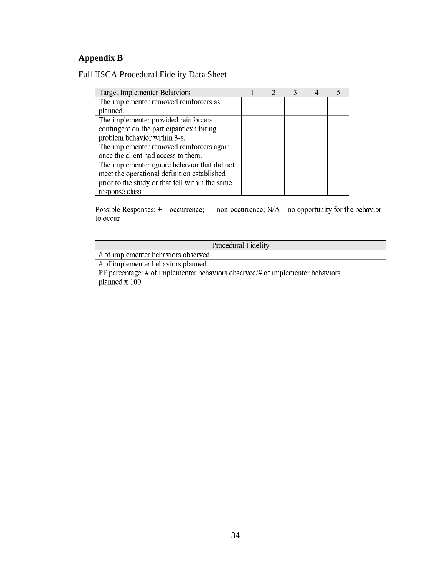# **Appendix B**

Full IISCA Procedural Fidelity Data Sheet

| Target Implementer Behaviors                    |  |  |  |
|-------------------------------------------------|--|--|--|
| The implementer removed reinforcers as          |  |  |  |
| planned.                                        |  |  |  |
| The implementer provided reinforcers            |  |  |  |
| contingent on the participant exhibiting        |  |  |  |
| problem behavior within 3-s.                    |  |  |  |
| The implementer removed reinforcers again       |  |  |  |
| once the client had access to them.             |  |  |  |
| The implementer ignore behavior that did not    |  |  |  |
| meet the operational definition established     |  |  |  |
| prior to the study or that fell within the same |  |  |  |
| response class.                                 |  |  |  |

Possible Responses:  $+$  = occurrence; - = non-occurrence; N/A = no opportunity for the behavior to occur

| Procedural Fidelity                                                                  |  |  |  |
|--------------------------------------------------------------------------------------|--|--|--|
| # of implementer behaviors observed                                                  |  |  |  |
| $#$ of implementer behaviors planned                                                 |  |  |  |
| PF percentage: $\#$ of implementer behaviors observed/ $\#$ of implementer behaviors |  |  |  |
| planned x 100                                                                        |  |  |  |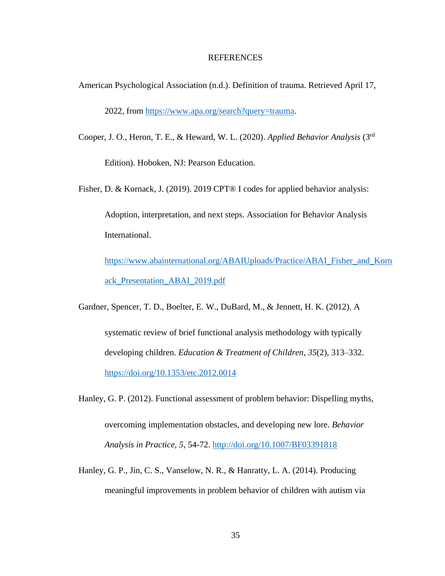#### REFERENCES

<span id="page-42-0"></span>American Psychological Association (n.d.). Definition of trauma. Retrieved April 17,

2022, from [https://www.apa.org/search?query=trauma.](https://www.apa.org/search?query=trauma)

- Cooper, J. O., Heron, T. E., & Heward, W. L. (2020). *Applied Behavior Analysis* (3rd Edition). Hoboken, NJ: Pearson Education.
- Fisher, D. & Kornack, J. (2019). 2019 CPT® I codes for applied behavior analysis: Adoption, interpretation, and next steps. Association for Behavior Analysis International. [https://www.abainternational.org/ABAIUploads/Practice/ABAI\\_Fisher\\_and\\_Korn](https://www.abainternational.org/ABAIUploads/Practice/ABAI_Fisher_and_Kornack_Presentation_ABAI_2019.pdf)

[ack\\_Presentation\\_ABAI\\_2019.pdf](https://www.abainternational.org/ABAIUploads/Practice/ABAI_Fisher_and_Kornack_Presentation_ABAI_2019.pdf)

Gardner, Spencer, T. D., Boelter, E. W., DuBard, M., & Jennett, H. K. (2012). A

systematic review of brief functional analysis methodology with typically developing children. *Education & Treatment of Children*, *35*(2), 313–332. <https://doi.org/10.1353/etc.2012.0014>

- Hanley, G. P. (2012). Functional assessment of problem behavior: Dispelling myths, overcoming implementation obstacles, and developing new lore. *Behavior Analysis in Practice, 5,* 54-72.<http://doi.org/10.1007/BF03391818>
- Hanley, G. P., Jin, C. S., Vanselow, N. R., & Hanratty, L. A. (2014). Producing meaningful improvements in problem behavior of children with autism via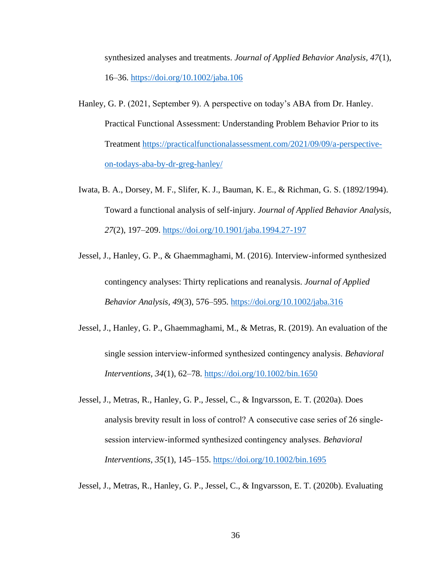synthesized analyses and treatments. *Journal of Applied Behavior Analysis, 47*(1), 16–36.<https://doi.org/10.1002/jaba.106>

- Hanley, G. P. (2021, September 9). A perspective on today's ABA from Dr. Hanley. Practical Functional Assessment: Understanding Problem Behavior Prior to its Treatment [https://practicalfunctionalassessment.com/2021/09/09/a-perspective](https://practicalfunctionalassessment.com/2021/09/09/a-perspective-on-todays-aba-by-dr-greg-hanley/)[on-todays-aba-by-dr-greg-hanley/](https://practicalfunctionalassessment.com/2021/09/09/a-perspective-on-todays-aba-by-dr-greg-hanley/)
- Iwata, B. A., Dorsey, M. F., Slifer, K. J., Bauman, K. E., & Richman, G. S. (1892/1994). Toward a functional analysis of self-injury. *Journal of Applied Behavior Analysis, 27*(2), 197–209.<https://doi.org/10.1901/jaba.1994.27-197>
- Jessel, J., Hanley, G. P., & Ghaemmaghami, M. (2016). Interview-informed synthesized contingency analyses: Thirty replications and reanalysis. *Journal of Applied Behavior Analysis, 49*(3), 576–595.<https://doi.org/10.1002/jaba.316>
- Jessel, J., Hanley, G. P., Ghaemmaghami, M., & Metras, R. (2019). An evaluation of the single session interview‐informed synthesized contingency analysis. *Behavioral Interventions, 34*(1), 62–78.<https://doi.org/10.1002/bin.1650>
- Jessel, J., Metras, R., Hanley, G. P., Jessel, C., & Ingvarsson, E. T. (2020a). Does analysis brevity result in loss of control? A consecutive case series of 26 single‐ session interview‐informed synthesized contingency analyses. *Behavioral Interventions, 35*(1), 145–155.<https://doi.org/10.1002/bin.1695>

Jessel, J., Metras, R., Hanley, G. P., Jessel, C., & Ingvarsson, E. T. (2020b). Evaluating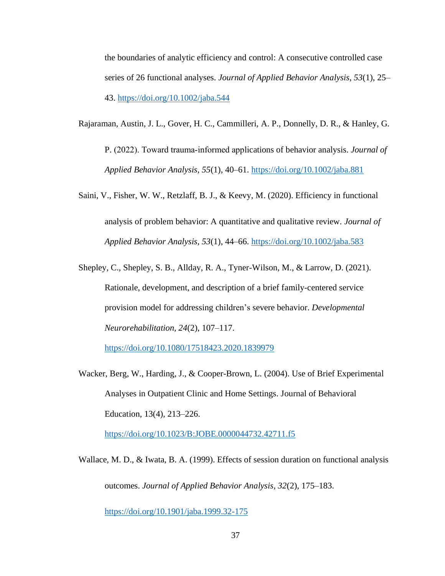the boundaries of analytic efficiency and control: A consecutive controlled case series of 26 functional analyses. *Journal of Applied Behavior Analysis, 53*(1), 25– 43.<https://doi.org/10.1002/jaba.544>

Rajaraman, Austin, J. L., Gover, H. C., Cammilleri, A. P., Donnelly, D. R., & Hanley, G.

P. (2022). Toward trauma‐informed applications of behavior analysis. *Journal of Applied Behavior Analysis, 55*(1), 40–61.<https://doi.org/10.1002/jaba.881>

- Saini, V., Fisher, W. W., Retzlaff, B. J., & Keevy, M. (2020). Efficiency in functional analysis of problem behavior: A quantitative and qualitative review. *Journal of Applied Behavior Analysis, 53*(1), 44–66.<https://doi.org/10.1002/jaba.583>
- Shepley, C., Shepley, S. B., Allday, R. A., Tyner-Wilson, M., & Larrow, D. (2021). Rationale, development, and description of a brief family-centered service provision model for addressing children's severe behavior. *Developmental Neurorehabilitation, 24*(2), 107–117.

[https://doi.org/10.1080/17518423.2020.1839979](https://doi-org.ezproxy.uky.edu/10.1080/17518423.2020.1839979)

Wacker, Berg, W., Harding, J., & Cooper-Brown, L. (2004). Use of Brief Experimental Analyses in Outpatient Clinic and Home Settings. Journal of Behavioral Education, 13(4), 213–226.

<https://doi.org/10.1023/B:JOBE.0000044732.42711.f5>

Wallace, M. D., & Iwata, B. A. (1999). Effects of session duration on functional analysis outcomes. *Journal of Applied Behavior Analysis, 32*(2), 175–183.

<https://doi.org/10.1901/jaba.1999.32-175>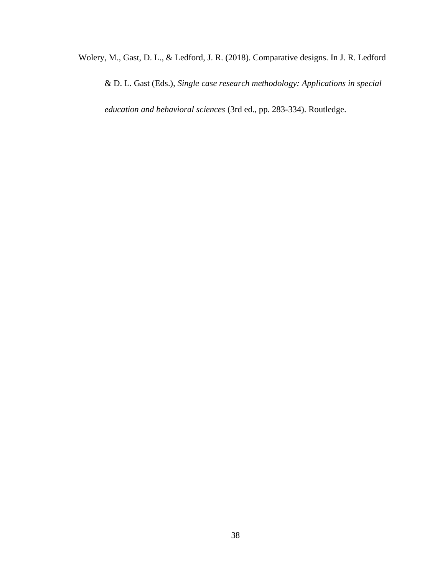Wolery, M., Gast, D. L., & Ledford, J. R. (2018). Comparative designs. In J. R. Ledford

& D. L. Gast (Eds.), *Single case research methodology: Applications in special* 

*education and behavioral sciences* (3rd ed., pp. 283-334). Routledge.